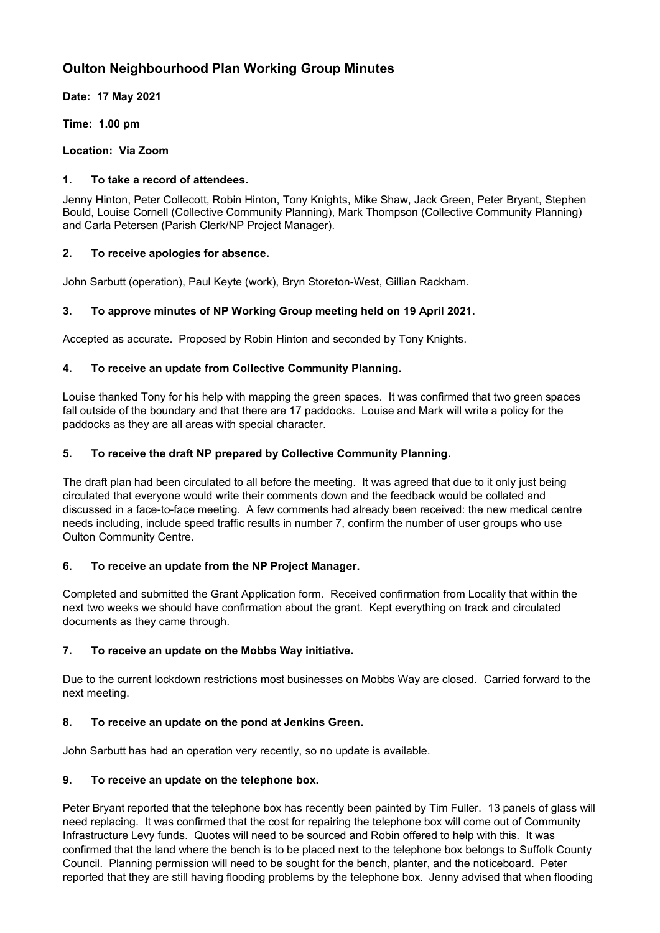# **Oulton Neighbourhood Plan Working Group Minutes**

**Date: 17 May 2021**

**Time: 1.00 pm**

**Location: Via Zoom**

### **1. To take a record of attendees.**

Jenny Hinton, Peter Collecott, Robin Hinton, Tony Knights, Mike Shaw, Jack Green, Peter Bryant, Stephen Bould, Louise Cornell (Collective Community Planning), Mark Thompson (Collective Community Planning) and Carla Petersen (Parish Clerk/NP Project Manager).

### **2. To receive apologies for absence.**

John Sarbutt (operation), Paul Keyte (work), Bryn Storeton-West, Gillian Rackham.

# **3. To approve minutes of NP Working Group meeting held on 19 April 2021.**

Accepted as accurate. Proposed by Robin Hinton and seconded by Tony Knights.

### **4. To receive an update from Collective Community Planning.**

Louise thanked Tony for his help with mapping the green spaces. It was confirmed that two green spaces fall outside of the boundary and that there are 17 paddocks. Louise and Mark will write a policy for the paddocks as they are all areas with special character.

### **5. To receive the draft NP prepared by Collective Community Planning.**

The draft plan had been circulated to all before the meeting. It was agreed that due to it only just being circulated that everyone would write their comments down and the feedback would be collated and discussed in a face-to-face meeting. A few comments had already been received: the new medical centre needs including, include speed traffic results in number 7, confirm the number of user groups who use Oulton Community Centre.

#### **6. To receive an update from the NP Project Manager.**

Completed and submitted the Grant Application form. Received confirmation from Locality that within the next two weeks we should have confirmation about the grant. Kept everything on track and circulated documents as they came through.

# **7. To receive an update on the Mobbs Way initiative.**

Due to the current lockdown restrictions most businesses on Mobbs Way are closed. Carried forward to the next meeting.

# **8. To receive an update on the pond at Jenkins Green.**

John Sarbutt has had an operation very recently, so no update is available.

#### **9. To receive an update on the telephone box.**

Peter Bryant reported that the telephone box has recently been painted by Tim Fuller. 13 panels of glass will need replacing. It was confirmed that the cost for repairing the telephone box will come out of Community Infrastructure Levy funds. Quotes will need to be sourced and Robin offered to help with this. It was confirmed that the land where the bench is to be placed next to the telephone box belongs to Suffolk County Council. Planning permission will need to be sought for the bench, planter, and the noticeboard. Peter reported that they are still having flooding problems by the telephone box. Jenny advised that when flooding